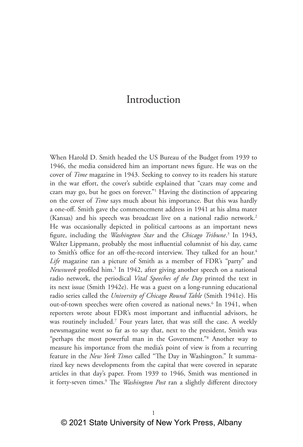# Introduction

When Harold D. Smith headed the US Bureau of the Budget from 1939 to 1946, the media considered him an important news figure. He was on the cover of *Time* magazine in 1943. Seeking to convey to its readers his stature in the war effort, the cover's subtitle explained that "czars may come and czars may go, but he goes on forever."1 Having the distinction of appearing on the cover of *Time* says much about his importance. But this was hardly a one-off. Smith gave the commencement address in 1941 at his alma mater (Kansas) and his speech was broadcast live on a national radio network.2 He was occasionally depicted in political cartoons as an important news figure, including the *Washington Star* and the *Chicago Tribune*. 3 In 1943, Walter Lippmann, probably the most influential columnist of his day, came to Smith's office for an off-the-record interview. They talked for an hour.<sup>4</sup> *Life* magazine ran a picture of Smith as a member of FDR's "party" and *Newsweek* profiled him.5 In 1942, after giving another speech on a national radio network, the periodical *Vital Speeches of the Day* printed the text in its next issue (Smith 1942e). He was a guest on a long-running educational radio series called the *University of Chicago Round Table* (Smith 1941e). His out-of-town speeches were often covered as national news.<sup>6</sup> In 1941, when reporters wrote about FDR's most important and influential advisors, he was routinely included.7 Four years later, that was still the case. A weekly newsmagazine went so far as to say that, next to the president, Smith was "perhaps the most powerful man in the Government."8 Another way to measure his importance from the media's point of view is from a recurring feature in the *New York Times* called "The Day in Washington." It summarized key news developments from the capital that were covered in separate articles in that day's paper. From 1939 to 1946, Smith was mentioned in it forty-seven times.<sup>9</sup> The *Washington Post* ran a slightly different directory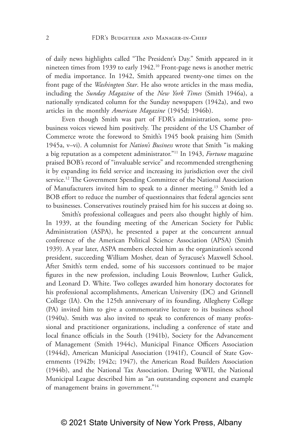of daily news highlights called "The President's Day." Smith appeared in it nineteen times from 1939 to early 1942.10 Front-page news is another metric of media importance. In 1942, Smith appeared twenty-one times on the front page of the *Washington Star*. He also wrote articles in the mass media, including the *Sunday Magazine* of the *New York Times* (Smith 1946a), a nationally syndicated column for the Sunday newspapers (1942a), and two articles in the monthly *American Magazine* (1945d; 1946b).

Even though Smith was part of FDR's administration, some probusiness voices viewed him positively. The president of the US Chamber of Commerce wrote the foreword to Smith's 1945 book praising him (Smith 1945a, v–vi). A columnist for *Nation's Business* wrote that Smith "is making a big reputation as a competent administrator."11 In 1943, *Fortune* magazine praised BOB's record of "invaluable service" and recommended strengthening it by expanding its field service and increasing its jurisdiction over the civil service.<sup>12</sup> The Government Spending Committee of the National Association of Manufacturers invited him to speak to a dinner meeting.13 Smith led a BOB effort to reduce the number of questionnaires that federal agencies sent to businesses. Conservatives routinely praised him for his success at doing so.

Smith's professional colleagues and peers also thought highly of him. In 1939, at the founding meeting of the American Society for Public Administration (ASPA), he presented a paper at the concurrent annual conference of the American Political Science Association (APSA) (Smith 1939). A year later, ASPA members elected him as the organization's second president, succeeding William Mosher, dean of Syracuse's Maxwell School. After Smith's term ended, some of his successors continued to be major figures in the new profession, including Louis Brownlow, Luther Gulick, and Leonard D. White. Two colleges awarded him honorary doctorates for his professional accomplishments, American University (DC) and Grinnell College (IA). On the 125th anniversary of its founding, Allegheny College (PA) invited him to give a commemorative lecture to its business school (1940a). Smith was also invited to speak to conferences of many professional and practitioner organizations, including a conference of state and local finance officials in the South (1941b), Society for the Advancement of Management (Smith 1944c), Municipal Finance Officers Association (1944d), American Municipal Association (1941f), Council of State Governments (1942b; 1942c; 1947), the American Road Builders Association (1944b), and the National Tax Association. During WWII, the National Municipal League described him as "an outstanding exponent and example of management brains in government."14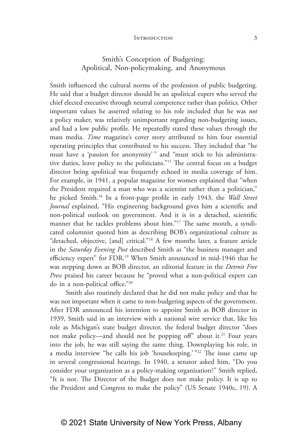# Smith's Conception of Budgeting: Apolitical, Non-policymaking, and Anonymous

Smith influenced the cultural norms of the profession of public budgeting. He said that a budget director should be an apolitical expert who served the chief elected executive through neutral competence rather than politics. Other important values he asserted relating to his role included that he was *not* a policy maker, was relatively unimportant regarding non-budgeting issues, and had a low public profile. He repeatedly stated these values through the mass media. *Time* magazine's cover story attributed to him four essential operating principles that contributed to his success. They included that "he must have a 'passion for anonymity'" and "must stick to his administrative duties, leave policy to the politicians."15 The central focus on a budget director being apolitical was frequently echoed in media coverage of him. For example, in 1941, a popular magazine for women explained that "when the President required a man who was a scientist rather than a politician," he picked Smith.16 In a front-page profile in early 1943, the *Wall Street Journal* explained, "His engineering background gives him a scientific and non-political outlook on government. And it is in a detached, scientific manner that he tackles problems about him."17 The same month, a syndicated columnist quoted him as describing BOB's organizational culture as "detached, objective, [and] critical."18 A few months later, a feature article in the *Saturday Evening Post* described Smith as "the business manager and efficiency expert" for FDR.19 When Smith announced in mid-1946 that he was stepping down as BOB director, an editorial feature in the *Detroit Free Press* praised his career because he "proved what a non-political expert can do in a non-political office."20

Smith also routinely declared that he did not make policy and that he was not important when it came to non-budgeting aspects of the government. After FDR announced his intention to appoint Smith as BOB director in 1939, Smith said in an interview with a national wire service that, like his role as Michigan's state budget director, the federal budget director "does not make policy—and should not be popping off" about it.<sup>21</sup> Four years into the job, he was still saying the same thing. Downplaying his role, in a media interview "he calls his job 'housekeeping.' "22 The issue came up in several congressional hearings. In 1940, a senator asked him, "Do you consider your organization as a policy-making organization?" Smith replied, "It is not. The Director of the Budget does not make policy. It is up to the President and Congress to make the policy" (US Senate 1940c, 19). A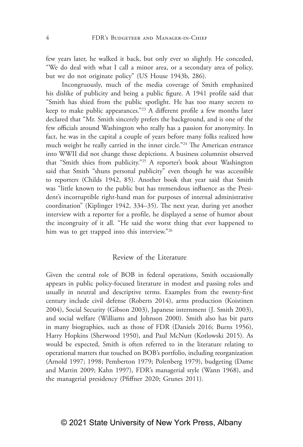few years later, he walked it back, but only ever so slightly. He conceded, "We do deal with what I call a minor area, or a secondary area of policy, but we do not originate policy" (US House 1943b, 286).

Incongruously, much of the media coverage of Smith emphasized his dislike of publicity and being a public figure. A 1941 profile said that "Smith has shied from the public spotlight. He has too many secrets to keep to make public appearances."23 A different profile a few months later declared that "Mr. Smith sincerely prefers the background, and is one of the few officials around Washington who really has a passion for anonymity. In fact, he was in the capital a couple of years before many folks realized how much weight he really carried in the inner circle."24 The American entrance into WWII did not change those depictions. A business columnist observed that "Smith shies from publicity."25 A reporter's book about Washington said that Smith "shuns personal publicity" even though he was accessible to reporters (Childs 1942, 85). Another book that year said that Smith was "little known to the public but has tremendous influence as the President's incorruptible right-hand man for purposes of internal administrative coordination" (Kiplinger 1942, 334–35). The next year, during yet another interview with a reporter for a profile, he displayed a sense of humor about the incongruity of it all. "He said the worst thing that ever happened to him was to get trapped into this interview."26

### Review of the Literature

Given the central role of BOB in federal operations, Smith occasionally appears in public policy-focused literature in modest and passing roles and usually in neutral and descriptive terms. Examples from the twenty-first century include civil defense (Roberts 2014), arms production (Koistinen 2004), Social Security (Gibson 2003), Japanese internment (J. Smith 2003), and social welfare (Williams and Johnson 2000). Smith also has bit parts in many biographies, such as those of FDR (Daniels 2016; Burns 1956), Harry Hopkins (Sherwood 1950), and Paul McNutt (Kotlowski 2015). As would be expected, Smith is often referred to in the literature relating to operational matters that touched on BOB's portfolio, including reorganization (Arnold 1997; 1998; Pemberton 1979; Polenberg 1979), budgeting (Dame and Martin 2009; Kahn 1997), FDR's managerial style (Wann 1968), and the managerial presidency (Pfiffner 2020; Grunes 2011).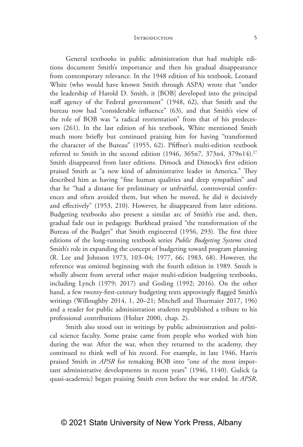General textbooks in public administration that had multiple editions document Smith's importance and then his gradual disappearance from contemporary relevance. In the 1948 edition of his textbook, Leonard White (who would have known Smith through ASPA) wrote that "under the leadership of Harold D. Smith, it [BOB] developed into the principal staff agency of the Federal government" (1948, 62), that Smith and the bureau now had "considerable influence" (63), and that Smith's view of the role of BOB was "a radical reorientation" from that of his predecessors (261). In the last edition of his textbook, White mentioned Smith much more briefly but continued praising him for having "transformed the character of the Bureau" (1955, 62). Pfiffner's multi-edition textbook referred to Smith in the second edition  $(1946, 365n7, 373n4, 379n14).$ <sup>27</sup> Smith disappeared from later editions. Dimock and Dimock's first edition praised Smith as "a new kind of administrative leader in America." They described him as having "fine human qualities and deep sympathies" and that he "had a distaste for preliminary or unfruitful, controversial conferences and often avoided them, but when he moved, he did it decisively and effectively" (1953, 210). However, he disappeared from later editions. Budgeting textbooks also present a similar arc of Smith's rise and, then, gradual fade out in pedagogy. Burkhead praised "the transformation of the Bureau of the Budget" that Smith engineered (1956, 293). The first three editions of the long-running textbook series *Public Budgeting Systems* cited Smith's role in expanding the concept of budgeting toward program planning (R. Lee and Johnson 1973, 103–04; 1977, 66; 1983, 68). However, the reference was omitted beginning with the fourth edition in 1989. Smith is wholly absent from several other major multi-edition budgeting textbooks, including Lynch (1979; 2017) and Gosling (1992; 2016). On the other hand, a few twenty-first-century budgeting texts approvingly flagged Smith's writings (Willoughby 2014, 1, 20–21; Mitchell and Thurmaier 2017, 196) and a reader for public administration students republished a tribute to his professional contributions (Holzer 2000, chap. 2).

Smith also stood out in writings by public administration and political science faculty. Some praise came from people who worked with him during the war. After the war, when they returned to the academy, they continued to think well of his record. For example, in late 1946, Harris praised Smith in *APSR* for remaking BOB into "one of the most important administrative developments in recent years" (1946, 1140). Gulick (a quasi-academic) began praising Smith even before the war ended. In *APSR*,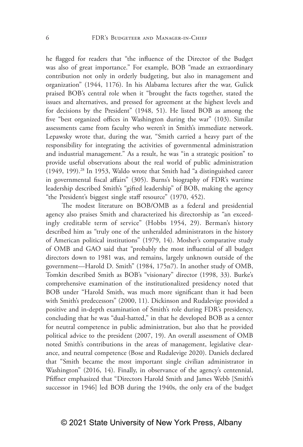he flagged for readers that "the influence of the Director of the Budget was also of great importance." For example, BOB "made an extraordinary contribution not only in orderly budgeting, but also in management and organization" (1944, 1176). In his Alabama lectures after the war, Gulick praised BOB's central role when it "brought the facts together, stated the issues and alternatives, and pressed for agreement at the highest levels and for decisions by the President" (1948, 51). He listed BOB as among the five "best organized offices in Washington during the war" (103). Similar assessments came from faculty who weren't in Smith's immediate network. Lepawsky wrote that, during the war, "Smith carried a heavy part of the responsibility for integrating the activities of governmental administration and industrial management." As a result, he was "in a strategic position" to provide useful observations about the real world of public administration (1949, 199).28 In 1953, Waldo wrote that Smith had "a distinguished career in governmental fiscal affairs" (305). Burns's biography of FDR's wartime leadership described Smith's "gifted leadership" of BOB, making the agency "the President's biggest single staff resource" (1970, 452).

The modest literature on BOB/OMB as a federal and presidential agency also praises Smith and characterized his directorship as "an exceedingly creditable term of service" (Hobbs 1954, 29). Berman's history described him as "truly one of the unheralded administrators in the history of American political institutions" (1979, 14). Mosher's comparative study of OMB and GAO said that "probably the most influential of all budget directors down to 1981 was, and remains, largely unknown outside of the government—Harold D. Smith" (1984, 175n7). In another study of OMB, Tomkin described Smith as BOB's "visionary" director (1998, 33). Burke's comprehensive examination of the institutionalized presidency noted that BOB under "Harold Smith, was much more significant than it had been with Smith's predecessors" (2000, 11). Dickinson and Rudalevige provided a positive and in-depth examination of Smith's role during FDR's presidency, concluding that he was "dual-hatted," in that he developed BOB as a center for neutral competence in public administration, but also that he provided political advice to the president (2007, 19). An overall assessment of OMB noted Smith's contributions in the areas of management, legislative clearance, and neutral competence (Bose and Rudalevige 2020). Daniels declared that "Smith became the most important single civilian administrator in Washington" (2016, 14). Finally, in observance of the agency's centennial, Pfiffner emphasized that "Directors Harold Smith and James Webb [Smith's successor in 1946] led BOB during the 1940s, the only era of the budget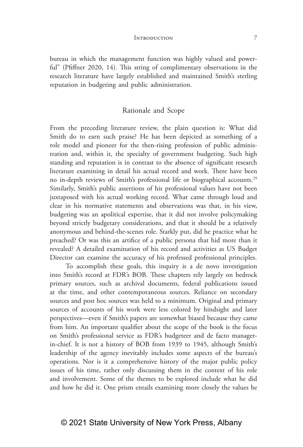bureau in which the management function was highly valued and powerful" (Pfiffner 2020, 14). This string of complimentary observations in the research literature have largely established and maintained Smith's sterling reputation in budgeting and public administration.

### Rationale and Scope

From the preceding literature review, the plain question is: What did Smith do to earn such praise? He has been depicted as something of a role model and pioneer for the then-rising profession of public administration and, within it, the specialty of government budgeting. Such high standing and reputation is in contrast to the absence of significant research literature examining in detail his actual record and work. There have been no in-depth reviews of Smith's professional life or biographical accounts.29 Similarly, Smith's public assertions of his professional values have not been juxtaposed with his actual working record. What came through loud and clear in his normative statements and observations was that, in his view, budgeting was an apolitical expertise, that it did not involve policymaking beyond strictly budgetary considerations, and that it should be a relatively anonymous and behind-the-scenes role. Starkly put, did he practice what he preached? Or was this an artifice of a public persona that hid more than it revealed? A detailed examination of his record and activities as US Budget Director can examine the accuracy of his professed professional principles.

To accomplish these goals, this inquiry is a de novo investigation into Smith's record at FDR's BOB. These chapters rely largely on bedrock primary sources, such as archival documents, federal publications issued at the time, and other contemporaneous sources. Reliance on secondary sources and post hoc sources was held to a minimum. Original and primary sources of accounts of his work were less colored by hindsight and later perspectives—even if Smith's papers are somewhat biased because they came from him. An important qualifier about the scope of the book is the focus on Smith's professional service as FDR's budgeteer and de facto managerin-chief. It is not a history of BOB from 1939 to 1945, although Smith's leadership of the agency inevitably includes some aspects of the bureau's operations. Nor is it a comprehensive history of the major public policy issues of his time, rather only discussing them in the context of his role and involvement. Some of the themes to be explored include what he did and how he did it. One prism entails examining more closely the values he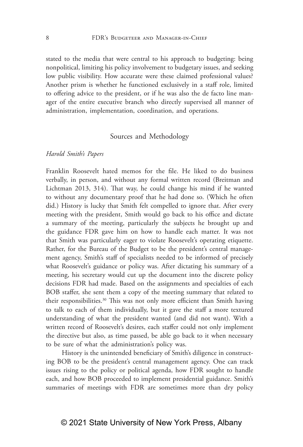stated to the media that were central to his approach to budgeting: being nonpolitical, limiting his policy involvement to budgetary issues, and seeking low public visibility. How accurate were these claimed professional values? Another prism is whether he functioned exclusively in a staff role, limited to offering advice to the president, or if he was also the de facto line manager of the entire executive branch who directly supervised all manner of administration, implementation, coordination, and operations.

### Sources and Methodology

### *Harold Smith's Papers*

Franklin Roosevelt hated memos for the file. He liked to do business verbally, in person, and without any formal written record (Breitman and Lichtman 2013, 314). That way, he could change his mind if he wanted to without any documentary proof that he had done so. (Which he often did.) History is lucky that Smith felt compelled to ignore that. After every meeting with the president, Smith would go back to his office and dictate a summary of the meeting, particularly the subjects he brought up and the guidance FDR gave him on how to handle each matter. It was not that Smith was particularly eager to violate Roosevelt's operating etiquette. Rather, for the Bureau of the Budget to be the president's central management agency, Smith's staff of specialists needed to be informed of precisely what Roosevelt's guidance or policy was. After dictating his summary of a meeting, his secretary would cut up the document into the discrete policy decisions FDR had made. Based on the assignments and specialties of each BOB staffer, she sent them a copy of the meeting summary that related to their responsibilities.<sup>30</sup> This was not only more efficient than Smith having to talk to each of them individually, but it gave the staff a more textured understanding of what the president wanted (and did not want). With a written record of Roosevelt's desires, each staffer could not only implement the directive but also, as time passed, be able go back to it when necessary to be sure of what the administration's policy was.

History is the unintended beneficiary of Smith's diligence in constructing BOB to be the president's central management agency. One can track issues rising to the policy or political agenda, how FDR sought to handle each, and how BOB proceeded to implement presidential guidance. Smith's summaries of meetings with FDR are sometimes more than dry policy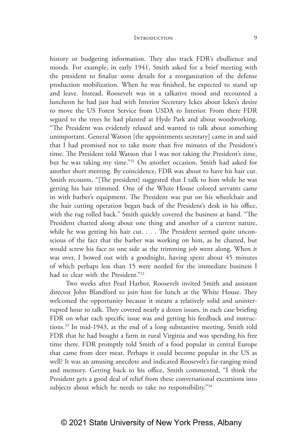history or budgeting information. They also track FDR's ebullience and moods. For example, in early 1941, Smith asked for a brief meeting with the president to finalize some details for a reorganization of the defense production mobilization. When he was finished, he expected to stand up and leave. Instead, Roosevelt was in a talkative mood and recounted a luncheon he had just had with Interior Secretary Ickes about Ickes's desire to move the US Forest Service from USDA to Interior. From there FDR segued to the trees he had planted at Hyde Park and about woodworking. "The President was evidently relaxed and wanted to talk about something unimportant. General Watson [the appointments secretary] came in and said that I had promised not to take more than five minutes of the President's

time. The President told Watson that I was not taking the President's time, but he was taking my time."31 On another occasion, Smith had asked for another short meeting. By coincidence, FDR was about to have his hair cut. Smith recounts, "[The president] suggested that I talk to him while he was getting his hair trimmed. One of the White House colored servants came in with barber's equipment. The President was put on his wheelchair and the hair cutting operation began back of the President's desk in his office, with the rug rolled back." Smith quickly covered the business at hand. "The President chatted along about one thing and another of a current nature, while he was getting his hair cut. . . . The President seemed quite unconscious of the fact that the barber was working on him, as he chatted, but would screw his face to one side as the trimming job went along. When it was over, I bowed out with a goodnight, having spent about 45 minutes of which perhaps less than 15 were needed for the immediate business I had to clear with the President."<sup>32</sup>

Two weeks after Pearl Harbor, Roosevelt invited Smith and assistant director John Blandford to join him for lunch at the White House. They welcomed the opportunity because it meant a relatively solid and uninterrupted hour to talk. They covered nearly a dozen issues, in each case briefing FDR on what each specific issue was and getting his feedback and instructions.33 In mid-1943, at the end of a long substantive meeting, Smith told FDR that he had bought a farm in rural Virginia and was spending his free time there. FDR promptly told Smith of a food popular in central Europe that came from deer meat. Perhaps it could become popular in the US as well? It was an amusing anecdote and indicated Roosevelt's far-ranging mind and memory. Getting back to his office, Smith commented, "I think the President gets a good deal of relief from these conversational excursions into subjects about which he needs to take no responsibility."<sup>34</sup>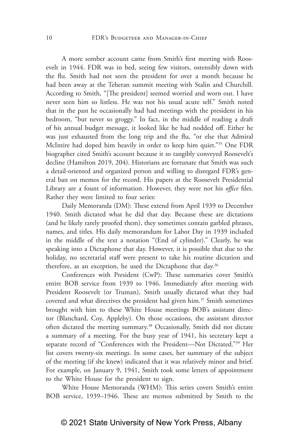A more somber account came from Smith's first meeting with Roosevelt in 1944. FDR was in bed, seeing few visitors, ostensibly down with the flu. Smith had not seen the president for over a month because he had been away at the Teheran summit meeting with Stalin and Churchill. According to Smith, "[The president] seemed worried and worn out. I have never seen him so listless. He was not his usual acute self." Smith noted that in the past he occasionally had had meetings with the president in his bedroom, "but never so groggy." In fact, in the middle of reading a draft of his annual budget message, it looked like he had nodded off. Either he was just exhausted from the long trip and the flu, "or else that Admiral McIntire had doped him heavily in order to keep him quiet."35 One FDR biographer cited Smith's account because it so tangibly conveyed Roosevelt's decline (Hamilton 2019, 204). Historians are fortunate that Smith was such a detail-oriented and organized person and willing to disregard FDR's general ban on memos for the record. His papers at the Roosevelt Presidential Library are a fount of information. However, they were not his *office* files. Rather they were limited to four series:

Daily Memoranda (DM): These extend from April 1939 to December 1940. Smith dictated what he did that day. Because these are dictations (and he likely rarely proofed them), they sometimes contain garbled phrases, names, and titles. His daily memorandum for Labor Day in 1939 included in the middle of the text a notation "(End of cylinder)." Clearly, he was speaking into a Dictaphone that day. However, it is possible that due to the holiday, no secretarial staff were present to take his routine dictation and therefore, as an exception, he used the Dictaphone that day.<sup>36</sup>

Conferences with President (CwP): These summaries cover Smith's entire BOB service from 1939 to 1946. Immediately after meeting with President Roosevelt (or Truman), Smith usually dictated what they had covered and what directives the president had given him.37 Smith sometimes brought with him to these White House meetings BOB's assistant director (Blanchard, Coy, Appleby). On those occasions, the assistant director often dictated the meeting summary.38 Occasionally, Smith did not dictate a summary of a meeting. For the busy year of 1941, his secretary kept a separate record of "Conferences with the President—Not Dictated."39 Her list covers twenty-six meetings. In some cases, her summary of the subject of the meeting (if she knew) indicated that it was relatively minor and brief. For example, on January 9, 1941, Smith took some letters of appointment to the White House for the president to sign.

White House Memoranda (WHM): This series covers Smith's entire BOB service, 1939–1946. These are memos submitted by Smith to the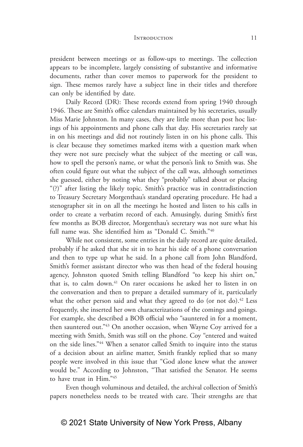president between meetings or as follow-ups to meetings. The collection appears to be incomplete, largely consisting of substantive and informative documents, rather than cover memos to paperwork for the president to sign. These memos rarely have a subject line in their titles and therefore can only be identified by date.

Daily Record (DR): These records extend from spring 1940 through 1946. These are Smith's office calendars maintained by his secretaries, usually Miss Marie Johnston. In many cases, they are little more than post hoc listings of his appointments and phone calls that day. His secretaries rarely sat in on his meetings and did not routinely listen in on his phone calls. This is clear because they sometimes marked items with a question mark when they were not sure precisely what the subject of the meeting or call was, how to spell the person's name, or what the person's link to Smith was. She often could figure out what the subject of the call was, although sometimes she guessed, either by noting what they "probably" talked about or placing "(?)" after listing the likely topic. Smith's practice was in contradistinction to Treasury Secretary Morgenthau's standard operating procedure. He had a stenographer sit in on all the meetings he hosted and listen to his calls in order to create a verbatim record of each. Amusingly, during Smith's first few months as BOB director, Morgenthau's secretary was not sure what his full name was. She identified him as "Donald C. Smith."40

While not consistent, some entries in the daily record are quite detailed, probably if he asked that she sit in to hear his side of a phone conversation and then to type up what he said. In a phone call from John Blandford, Smith's former assistant director who was then head of the federal housing agency, Johnston quoted Smith telling Blandford "to keep his shirt on," that is, to calm down.<sup>41</sup> On rarer occasions he asked her to listen in on the conversation and then to prepare a detailed summary of it, particularly what the other person said and what they agreed to do (or not do).<sup>42</sup> Less frequently, she inserted her own characterizations of the comings and goings. For example, she described a BOB official who "sauntered in for a moment, then sauntered out."43 On another occasion, when Wayne Coy arrived for a meeting with Smith, Smith was still on the phone. Coy "entered and waited on the side lines."44 When a senator called Smith to inquire into the status of a decision about an airline matter, Smith frankly replied that so many people were involved in this issue that "God alone knew what the answer would be." According to Johnston, "That satisfied the Senator. He seems to have trust in Him."45

Even though voluminous and detailed, the archival collection of Smith's papers nonetheless needs to be treated with care. Their strengths are that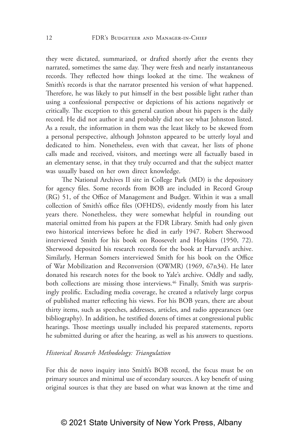they were dictated, summarized, or drafted shortly after the events they narrated, sometimes the same day. They were fresh and nearly instantaneous records. They reflected how things looked at the time. The weakness of Smith's records is that the narrator presented his version of what happened. Therefore, he was likely to put himself in the best possible light rather than using a confessional perspective or depictions of his actions negatively or critically. The exception to this general caution about his papers is the daily record. He did not author it and probably did not see what Johnston listed. As a result, the information in them was the least likely to be skewed from a personal perspective, although Johnston appeared to be utterly loyal and dedicated to him. Nonetheless, even with that caveat, her lists of phone calls made and received, visitors, and meetings were all factually based in an elementary sense, in that they truly occurred and that the subject matter was usually based on her own direct knowledge.

The National Archives II site in College Park (MD) is the depository for agency files. Some records from BOB are included in Record Group (RG) 51, of the Office of Management and Budget. Within it was a small collection of Smith's office files (OFHDS), evidently mostly from his later years there. Nonetheless, they were somewhat helpful in rounding out material omitted from his papers at the FDR Library. Smith had only given two historical interviews before he died in early 1947. Robert Sherwood interviewed Smith for his book on Roosevelt and Hopkins (1950, 72). Sherwood deposited his research records for the book at Harvard's archive. Similarly, Herman Somers interviewed Smith for his book on the Office of War Mobilization and Reconversion (OWMR) (1969, 67n34). He later donated his research notes for the book to Yale's archive. Oddly and sadly, both collections are missing those interviews.<sup>46</sup> Finally, Smith was surprisingly prolific. Excluding media coverage, he created a relatively large corpus of published matter reflecting his views. For his BOB years, there are about thirty items, such as speeches, addresses, articles, and radio appearances (see bibliography). In addition, he testified dozens of times at congressional public hearings. Those meetings usually included his prepared statements, reports he submitted during or after the hearing, as well as his answers to questions.

### *Historical Research Methodology: Triangulation*

For this de novo inquiry into Smith's BOB record, the focus must be on primary sources and minimal use of secondary sources. A key benefit of using original sources is that they are based on what was known at the time and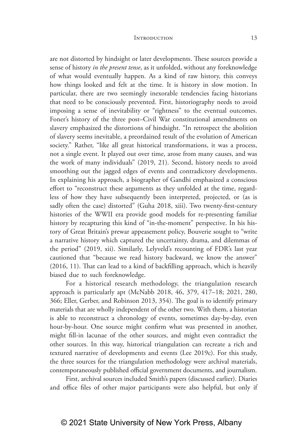are not distorted by hindsight or later developments. These sources provide a sense of history *in the present tense*, as it unfolded, without any foreknowledge of what would eventually happen. As a kind of raw history, this conveys how things looked and felt at the time. It is history in slow motion. In particular, there are two seemingly inexorable tendencies facing historians that need to be consciously prevented. First, historiography needs to avoid imposing a sense of inevitability or "rightness" to the eventual outcomes. Foner's history of the three post–Civil War constitutional amendments on slavery emphasized the distortions of hindsight. "In retrospect the abolition of slavery seems inevitable, a preordained result of the evolution of American society." Rather, "like all great historical transformations, it was a process, not a single event. It played out over time, arose from many causes, and was the work of many individuals" (2019, 21). Second, history needs to avoid smoothing out the jagged edges of events and contradictory developments. In explaining his approach, a biographer of Gandhi emphasized a conscious effort to "reconstruct these arguments as they unfolded at the time, regardless of how they have subsequently been interpreted, projected, or (as is sadly often the case) distorted" (Guha 2018, xiii). Two twenty-first-century histories of the WWII era provide good models for re-presenting familiar history by recapturing this kind of "in-the-moment" perspective. In his history of Great Britain's prewar appeasement policy, Bouverie sought to "write a narrative history which captured the uncertainty, drama, and dilemmas of the period" (2019, xii). Similarly, Lelyveld's recounting of FDR's last year cautioned that "because we read history backward, we know the answer" (2016, 11). That can lead to a kind of backfilling approach, which is heavily biased due to such foreknowledge.

For a historical research methodology, the triangulation research approach is particularly apt (McNabb 2018, 46, 379, 417–18; 2021, 280, 366; Eller, Gerber, and Robinson 2013, 354). The goal is to identify primary materials that are wholly independent of the other two. With them, a historian is able to reconstruct a chronology of events, sometimes day-by-day, even hour-by-hour. One source might confirm what was presented in another, might fill-in lacunae of the other sources, and might even contradict the other sources. In this way, historical triangulation can recreate a rich and textured narrative of developments and events (Lee 2019c). For this study, the three sources for the triangulation methodology were archival materials, contemporaneously published official government documents, and journalism.

First, archival sources included Smith's papers (discussed earlier). Diaries and office files of other major participants were also helpful, but only if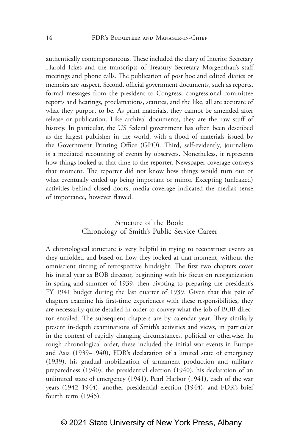authentically contemporaneous. These included the diary of Interior Secretary Harold Ickes and the transcripts of Treasury Secretary Morgenthau's staff meetings and phone calls. The publication of post hoc and edited diaries or memoirs are suspect. Second, official government documents, such as reports, formal messages from the president to Congress, congressional committee reports and hearings, proclamations, statutes, and the like, all are accurate of what they purport to be. As print materials, they cannot be amended after release or publication. Like archival documents, they are the raw stuff of history. In particular, the US federal government has often been described as the largest publisher in the world, with a flood of materials issued by the Government Printing Office (GPO). Third, self-evidently, journalism is a mediated recounting of events by observers. Nonetheless, it represents how things looked at that time to the reporter. Newspaper coverage conveys that moment. The reporter did not know how things would turn out or what eventually ended up being important or minor. Excepting (unleaked) activities behind closed doors, media coverage indicated the media's sense of importance, however flawed.

# Structure of the Book: Chronology of Smith's Public Service Career

A chronological structure is very helpful in trying to reconstruct events as they unfolded and based on how they looked at that moment, without the omniscient tinting of retrospective hindsight. The first two chapters cover his initial year as BOB director, beginning with his focus on reorganization in spring and summer of 1939, then pivoting to preparing the president's FY 1941 budget during the last quarter of 1939. Given that this pair of chapters examine his first-time experiences with these responsibilities, they are necessarily quite detailed in order to convey what the job of BOB director entailed. The subsequent chapters are by calendar year. They similarly present in-depth examinations of Smith's activities and views, in particular in the context of rapidly changing circumstances, political or otherwise. In rough chronological order, these included the initial war events in Europe and Asia (1939–1940), FDR's declaration of a limited state of emergency (1939), his gradual mobilization of armament production and military preparedness (1940), the presidential election (1940), his declaration of an unlimited state of emergency (1941), Pearl Harbor (1941), each of the war years (1942–1944), another presidential election (1944), and FDR's brief fourth term (1945).